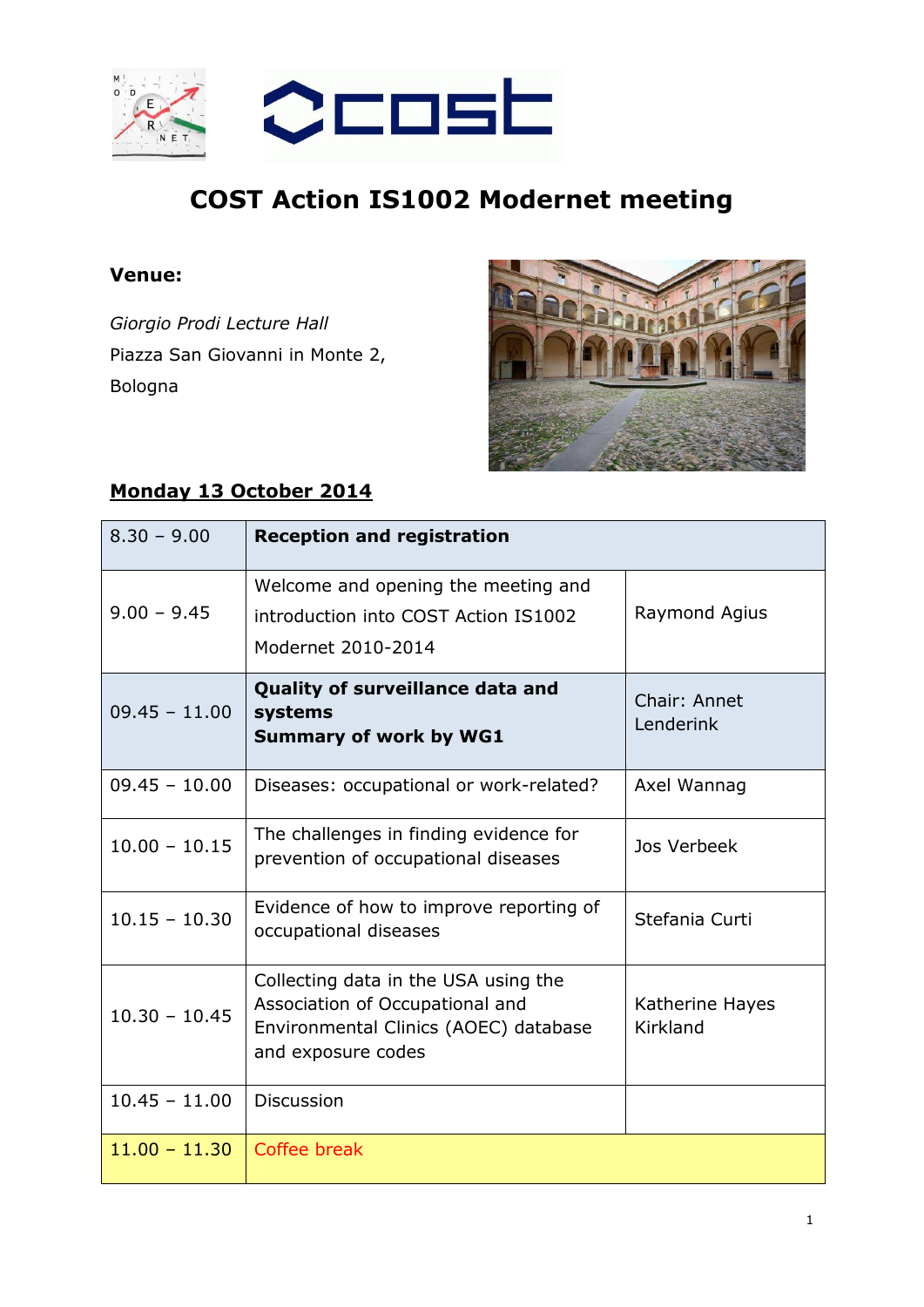

## **COST Action IS1002 Modernet meeting**

## **Venue:**

*Giorgio Prodi Lecture Hall* Piazza San Giovanni in Monte 2, Bologna



## **Monday 13 October 2014**

| $8.30 - 9.00$   | <b>Reception and registration</b>                                                                                                      |                             |
|-----------------|----------------------------------------------------------------------------------------------------------------------------------------|-----------------------------|
| $9.00 - 9.45$   | Welcome and opening the meeting and<br>introduction into COST Action IS1002<br>Modernet 2010-2014                                      | Raymond Agius               |
| $09.45 - 11.00$ | Quality of surveillance data and<br>systems<br><b>Summary of work by WG1</b>                                                           | Chair: Annet<br>Lenderink   |
| $09.45 - 10.00$ | Diseases: occupational or work-related?                                                                                                | Axel Wannag                 |
| $10.00 - 10.15$ | The challenges in finding evidence for<br>prevention of occupational diseases                                                          | Jos Verbeek                 |
| $10.15 - 10.30$ | Evidence of how to improve reporting of<br>occupational diseases                                                                       | Stefania Curti              |
| $10.30 - 10.45$ | Collecting data in the USA using the<br>Association of Occupational and<br>Environmental Clinics (AOEC) database<br>and exposure codes | Katherine Hayes<br>Kirkland |
| $10.45 - 11.00$ | <b>Discussion</b>                                                                                                                      |                             |
| $11.00 - 11.30$ | Coffee break                                                                                                                           |                             |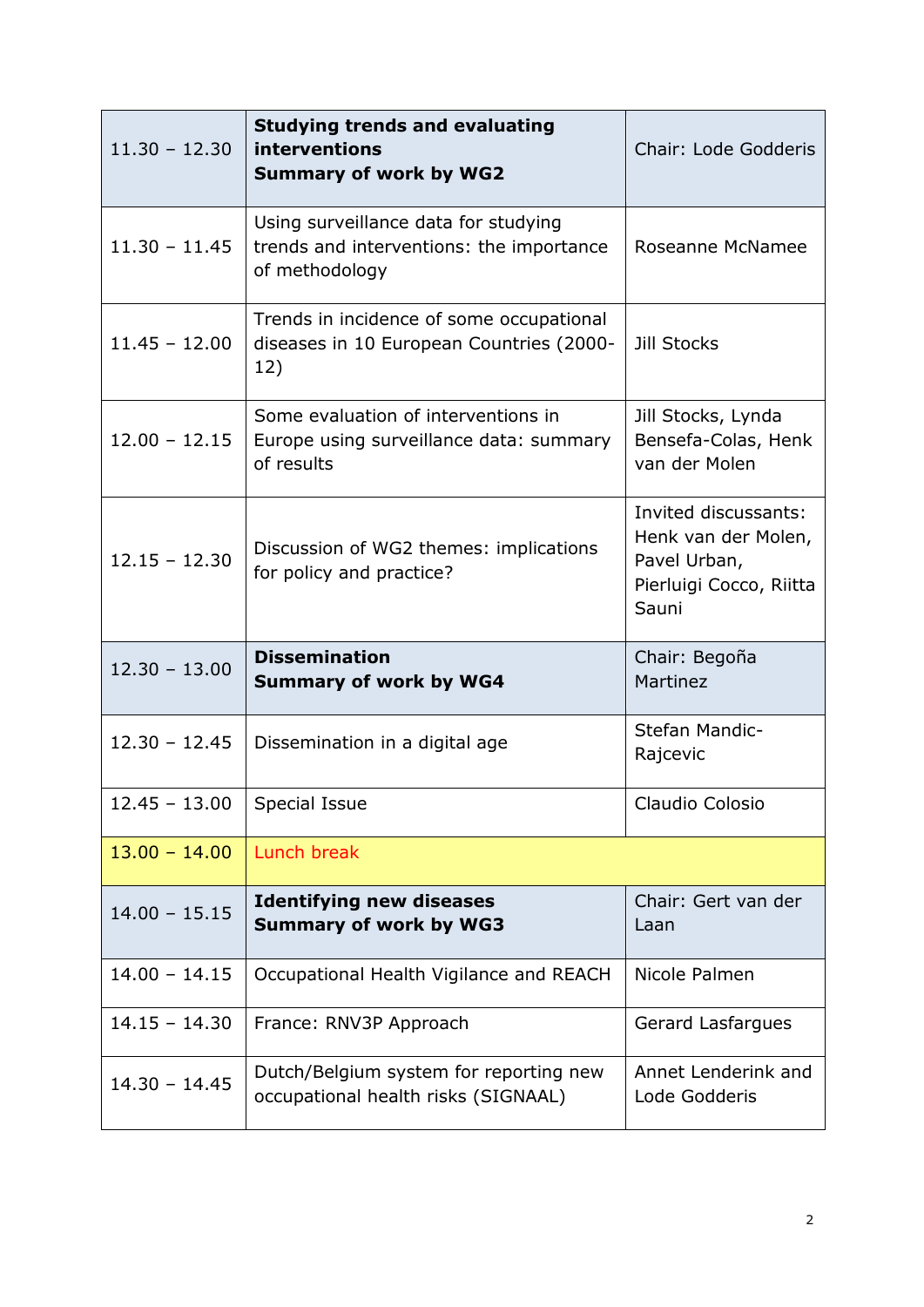| $11.30 - 12.30$ | <b>Studying trends and evaluating</b><br>interventions<br><b>Summary of work by WG2</b>            | Chair: Lode Godderis                                                                            |
|-----------------|----------------------------------------------------------------------------------------------------|-------------------------------------------------------------------------------------------------|
| $11.30 - 11.45$ | Using surveillance data for studying<br>trends and interventions: the importance<br>of methodology | Roseanne McNamee                                                                                |
| $11.45 - 12.00$ | Trends in incidence of some occupational<br>diseases in 10 European Countries (2000-<br>12)        | <b>Jill Stocks</b>                                                                              |
| $12.00 - 12.15$ | Some evaluation of interventions in<br>Europe using surveillance data: summary<br>of results       | Jill Stocks, Lynda<br>Bensefa-Colas, Henk<br>van der Molen                                      |
| $12.15 - 12.30$ | Discussion of WG2 themes: implications<br>for policy and practice?                                 | Invited discussants:<br>Henk van der Molen,<br>Pavel Urban,<br>Pierluigi Cocco, Riitta<br>Sauni |
| $12.30 - 13.00$ | <b>Dissemination</b><br><b>Summary of work by WG4</b>                                              | Chair: Begoña<br>Martinez                                                                       |
| $12.30 - 12.45$ | Dissemination in a digital age                                                                     | Stefan Mandic-<br>Rajcevic                                                                      |
| $12.45 - 13.00$ | Special Issue                                                                                      | Claudio Colosio                                                                                 |
| $13.00 - 14.00$ | Lunch break                                                                                        |                                                                                                 |
| $14.00 - 15.15$ | <b>Identifying new diseases</b><br><b>Summary of work by WG3</b>                                   | Chair: Gert van der<br>Laan                                                                     |
| $14.00 - 14.15$ | Occupational Health Vigilance and REACH                                                            | Nicole Palmen                                                                                   |
| $14.15 - 14.30$ | France: RNV3P Approach                                                                             | Gerard Lasfargues                                                                               |
| $14.30 - 14.45$ | Dutch/Belgium system for reporting new<br>occupational health risks (SIGNAAL)                      | Annet Lenderink and<br>Lode Godderis                                                            |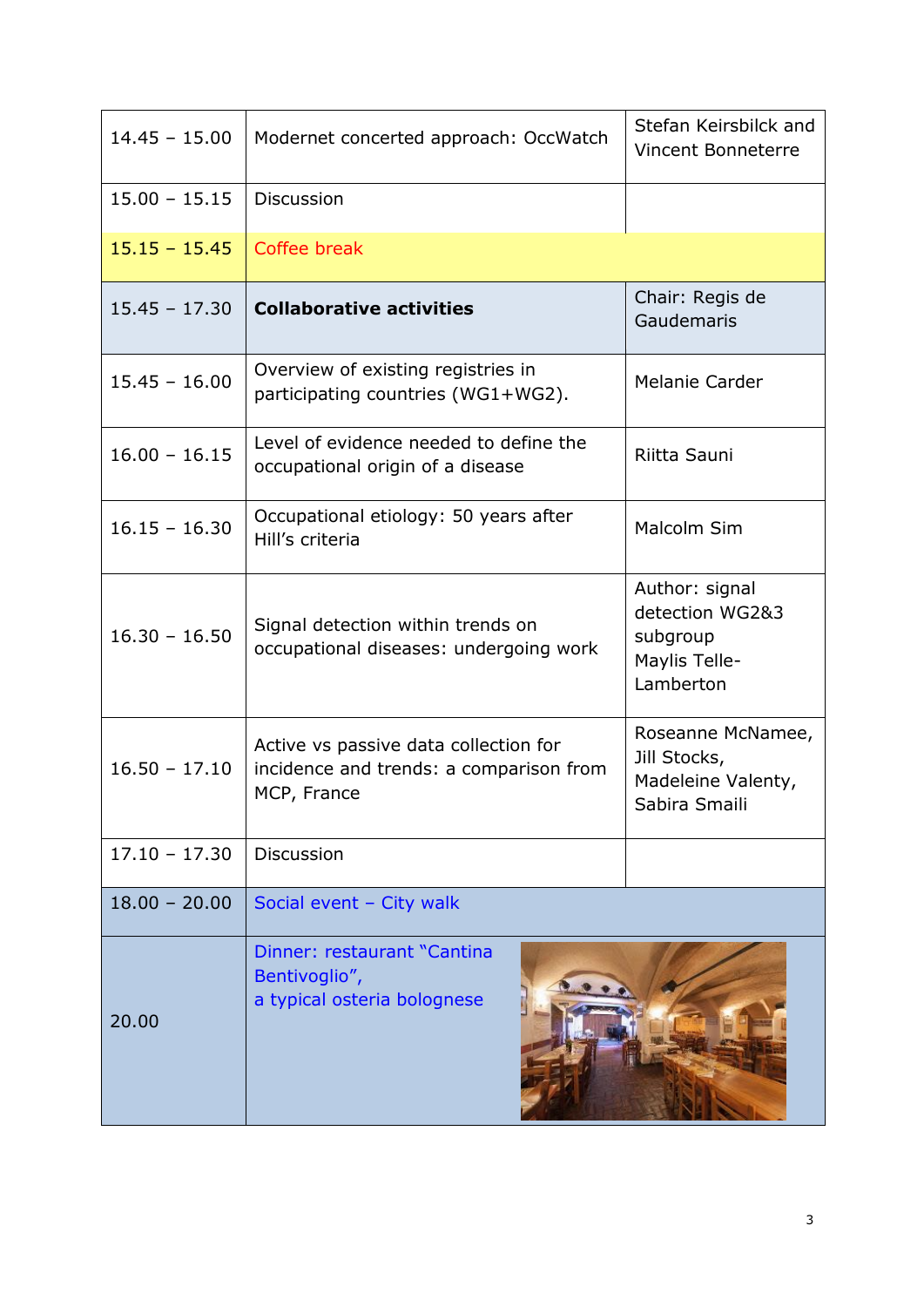| $14.45 - 15.00$ | Modernet concerted approach: OccWatch                                                           | Stefan Keirsbilck and<br><b>Vincent Bonneterre</b>                          |
|-----------------|-------------------------------------------------------------------------------------------------|-----------------------------------------------------------------------------|
| $15.00 - 15.15$ | <b>Discussion</b>                                                                               |                                                                             |
| $15.15 - 15.45$ | Coffee break                                                                                    |                                                                             |
| $15.45 - 17.30$ | <b>Collaborative activities</b>                                                                 | Chair: Regis de<br>Gaudemaris                                               |
| $15.45 - 16.00$ | Overview of existing registries in<br>participating countries (WG1+WG2).                        | Melanie Carder                                                              |
| $16.00 - 16.15$ | Level of evidence needed to define the<br>occupational origin of a disease                      | Riitta Sauni                                                                |
| $16.15 - 16.30$ | Occupational etiology: 50 years after<br>Hill's criteria                                        | Malcolm Sim                                                                 |
| $16.30 - 16.50$ | Signal detection within trends on<br>occupational diseases: undergoing work                     | Author: signal<br>detection WG2&3<br>subgroup<br>Maylis Telle-<br>Lamberton |
| $16.50 - 17.10$ | Active vs passive data collection for<br>incidence and trends: a comparison from<br>MCP, France | Roseanne McNamee,<br>Jill Stocks,<br>Madeleine Valenty,<br>Sabira Smaili    |
| $17.10 - 17.30$ | <b>Discussion</b>                                                                               |                                                                             |
| $18.00 - 20.00$ | Social event - City walk                                                                        |                                                                             |
| 20.00           | Dinner: restaurant "Cantina<br>Bentivoglio",<br>a typical osteria bolognese                     |                                                                             |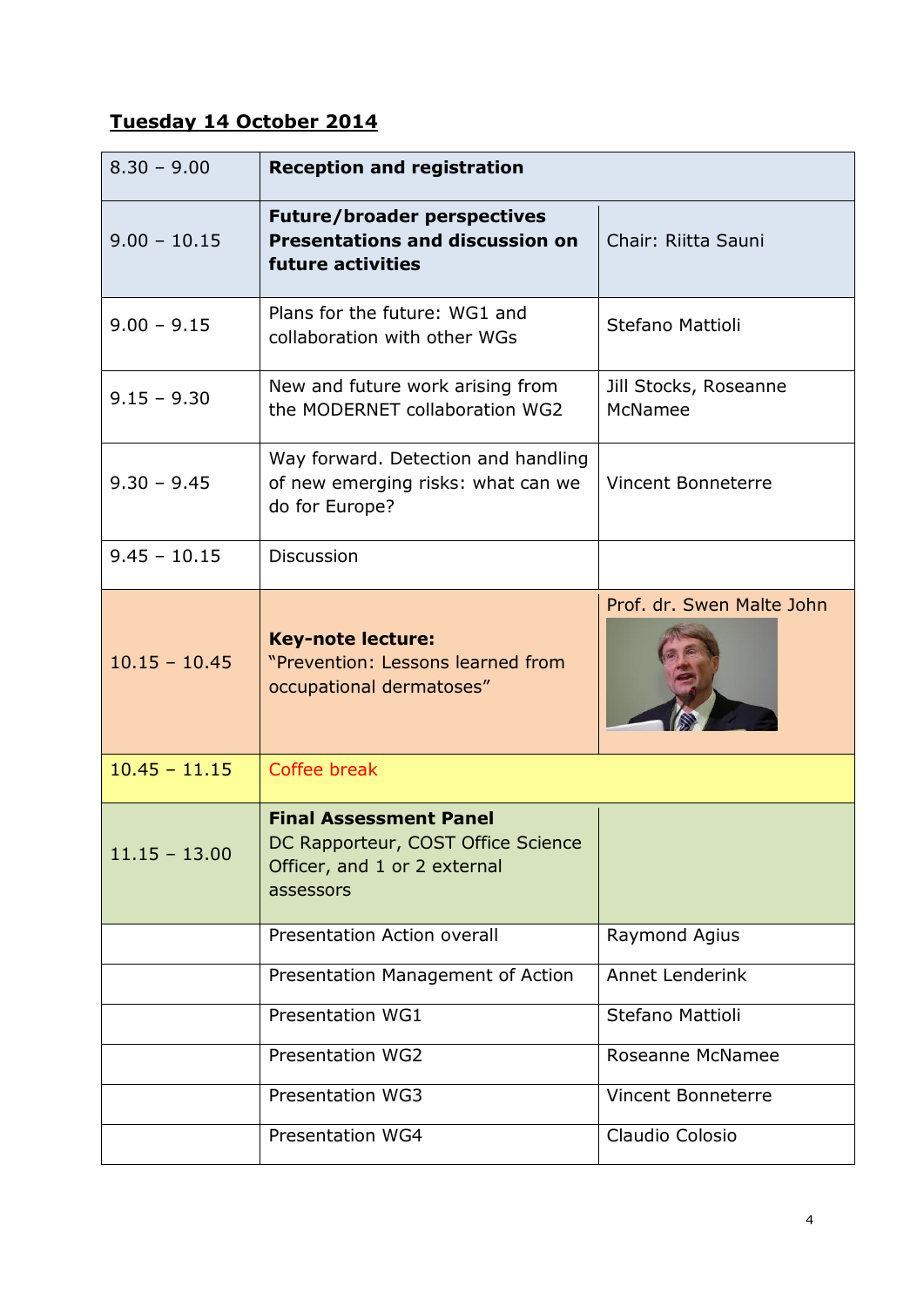## **Tuesday 14 October 2014**

| $8.30 - 9.00$   | <b>Reception and registration</b>                                                                                |                                  |
|-----------------|------------------------------------------------------------------------------------------------------------------|----------------------------------|
| $9.00 - 10.15$  | <b>Future/broader perspectives</b><br><b>Presentations and discussion on</b><br>future activities                | Chair: Riitta Sauni              |
| $9.00 - 9.15$   | Plans for the future: WG1 and<br>collaboration with other WGs                                                    | Stefano Mattioli                 |
| $9.15 - 9.30$   | New and future work arising from<br>the MODERNET collaboration WG2                                               | Jill Stocks, Roseanne<br>McNamee |
| $9.30 - 9.45$   | Way forward. Detection and handling<br>of new emerging risks: what can we<br>do for Europe?                      | <b>Vincent Bonneterre</b>        |
| $9.45 - 10.15$  | <b>Discussion</b>                                                                                                |                                  |
| $10.15 - 10.45$ | <b>Key-note lecture:</b><br>"Prevention: Lessons learned from<br>occupational dermatoses"                        | Prof. dr. Swen Malte John        |
| $10.45 - 11.15$ | Coffee break                                                                                                     |                                  |
| $11.15 - 13.00$ | <b>Final Assessment Panel</b><br>DC Rapporteur, COST Office Science<br>Officer, and 1 or 2 external<br>assessors |                                  |
|                 | <b>Presentation Action overall</b>                                                                               | Raymond Agius                    |
|                 | Presentation Management of Action                                                                                | Annet Lenderink                  |
|                 | Presentation WG1                                                                                                 | Stefano Mattioli                 |
|                 | Presentation WG2                                                                                                 | Roseanne McNamee                 |
|                 | <b>Presentation WG3</b>                                                                                          | <b>Vincent Bonneterre</b>        |
|                 | Presentation WG4                                                                                                 | Claudio Colosio                  |